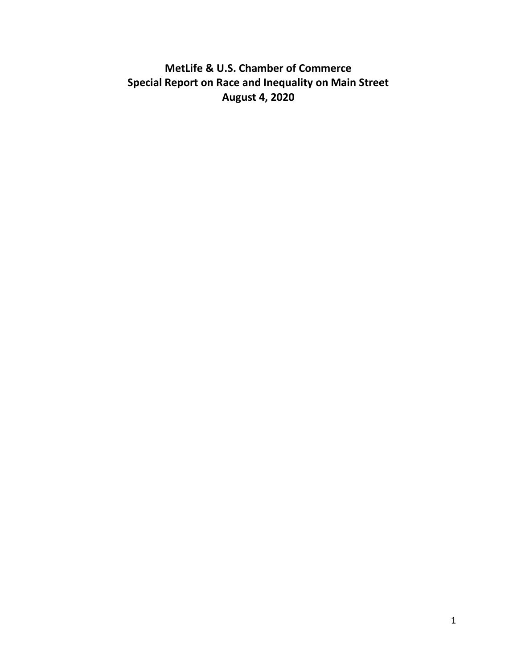# **MetLife & U.S. Chamber of Commerce Special Report on Race and Inequality on Main Street August 4, 2020**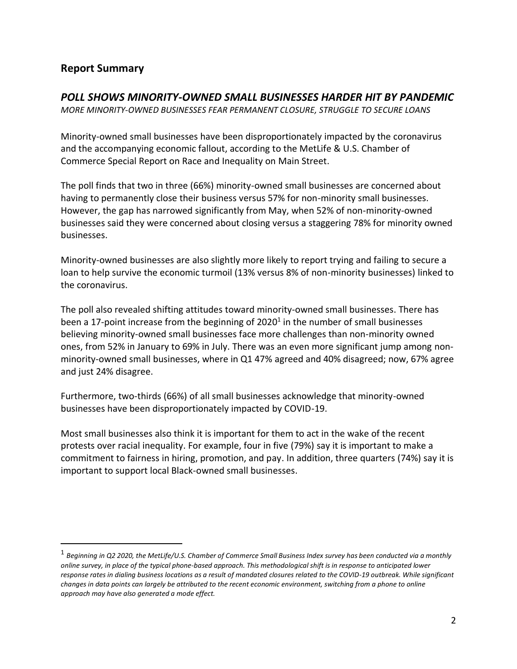# **Report Summary**

#### *POLL SHOWS MINORITY-OWNED SMALL BUSINESSES HARDER HIT BY PANDEMIC*

*MORE MINORITY-OWNED BUSINESSES FEAR PERMANENT CLOSURE, STRUGGLE TO SECURE LOANS* 

Minority-owned small businesses have been disproportionately impacted by the coronavirus and the accompanying economic fallout, according to the MetLife & U.S. Chamber of Commerce Special Report on Race and Inequality on Main Street.

The poll finds that two in three (66%) minority-owned small businesses are concerned about having to permanently close their business versus 57% for non-minority small businesses. However, the gap has narrowed significantly from May, when 52% of non-minority-owned businesses said they were concerned about closing versus a staggering 78% for minority owned businesses.

Minority-owned businesses are also slightly more likely to report trying and failing to secure a loan to help survive the economic turmoil (13% versus 8% of non-minority businesses) linked to the coronavirus.

The poll also revealed shifting attitudes toward minority-owned small businesses. There has been a 17-point increase from the beginning of 2020<sup>1</sup> in the number of small businesses believing minority-owned small businesses face more challenges than non-minority owned ones, from 52% in January to 69% in July. There was an even more significant jump among nonminority-owned small businesses, where in Q1 47% agreed and 40% disagreed; now, 67% agree and just 24% disagree.

Furthermore, two-thirds (66%) of all small businesses acknowledge that minority-owned businesses have been disproportionately impacted by COVID-19.

Most small businesses also think it is important for them to act in the wake of the recent protests over racial inequality. For example, four in five (79%) say it is important to make a commitment to fairness in hiring, promotion, and pay. In addition, three quarters (74%) say it is important to support local Black-owned small businesses.

<sup>1</sup> *Beginning in Q2 2020, the MetLife/U.S. Chamber of Commerce Small Business Index survey has been conducted via a monthly online survey, in place of the typical phone-based approach. This methodological shift is in response to anticipated lower response rates in dialing business locations as a result of mandated closures related to the COVID-19 outbreak. While significant changes in data points can largely be attributed to the recent economic environment, switching from a phone to online approach may have also generated a mode effect.*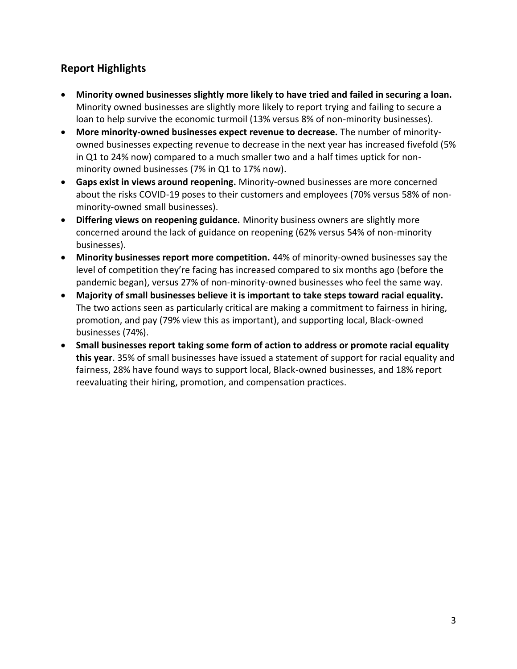# **Report Highlights**

- **Minority owned businesses slightly more likely to have tried and failed in securing a loan.**  Minority owned businesses are slightly more likely to report trying and failing to secure a loan to help survive the economic turmoil (13% versus 8% of non-minority businesses).
- **More minority-owned businesses expect revenue to decrease.** The number of minorityowned businesses expecting revenue to decrease in the next year has increased fivefold (5% in Q1 to 24% now) compared to a much smaller two and a half times uptick for nonminority owned businesses (7% in Q1 to 17% now).
- **Gaps exist in views around reopening.** Minority-owned businesses are more concerned about the risks COVID-19 poses to their customers and employees (70% versus 58% of nonminority-owned small businesses).
- **Differing views on reopening guidance.** Minority business owners are slightly more concerned around the lack of guidance on reopening (62% versus 54% of non-minority businesses).
- **Minority businesses report more competition.** 44% of minority-owned businesses say the level of competition they're facing has increased compared to six months ago (before the pandemic began), versus 27% of non-minority-owned businesses who feel the same way.
- **Majority of small businesses believe it is important to take steps toward racial equality.**  The two actions seen as particularly critical are making a commitment to fairness in hiring, promotion, and pay (79% view this as important), and supporting local, Black-owned businesses (74%).
- **Small businesses report taking some form of action to address or promote racial equality this year**. 35% of small businesses have issued a statement of support for racial equality and fairness, 28% have found ways to support local, Black-owned businesses, and 18% report reevaluating their hiring, promotion, and compensation practices.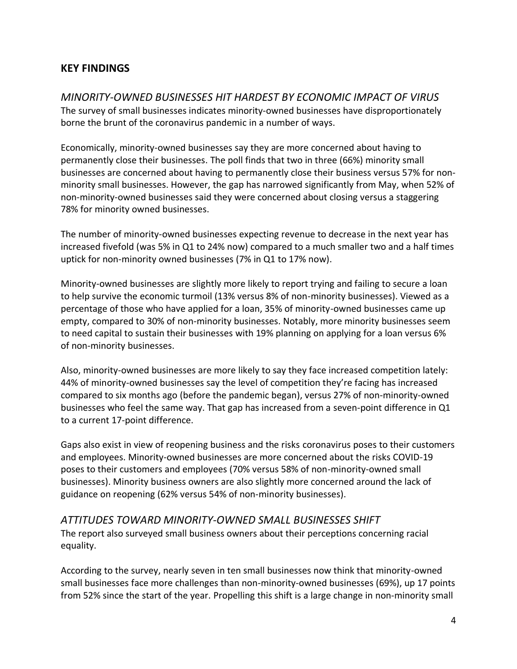### **KEY FINDINGS**

*MINORITY-OWNED BUSINESSES HIT HARDEST BY ECONOMIC IMPACT OF VIRUS*  The survey of small businesses indicates minority-owned businesses have disproportionately borne the brunt of the coronavirus pandemic in a number of ways.

Economically, minority-owned businesses say they are more concerned about having to permanently close their businesses. The poll finds that two in three (66%) minority small businesses are concerned about having to permanently close their business versus 57% for nonminority small businesses. However, the gap has narrowed significantly from May, when 52% of non-minority-owned businesses said they were concerned about closing versus a staggering 78% for minority owned businesses.

The number of minority-owned businesses expecting revenue to decrease in the next year has increased fivefold (was 5% in Q1 to 24% now) compared to a much smaller two and a half times uptick for non-minority owned businesses (7% in Q1 to 17% now).

Minority-owned businesses are slightly more likely to report trying and failing to secure a loan to help survive the economic turmoil (13% versus 8% of non-minority businesses). Viewed as a percentage of those who have applied for a loan, 35% of minority-owned businesses came up empty, compared to 30% of non-minority businesses. Notably, more minority businesses seem to need capital to sustain their businesses with 19% planning on applying for a loan versus 6% of non-minority businesses.

Also, minority-owned businesses are more likely to say they face increased competition lately: 44% of minority-owned businesses say the level of competition they're facing has increased compared to six months ago (before the pandemic began), versus 27% of non-minority-owned businesses who feel the same way. That gap has increased from a seven-point difference in Q1 to a current 17-point difference.

Gaps also exist in view of reopening business and the risks coronavirus poses to their customers and employees. Minority-owned businesses are more concerned about the risks COVID-19 poses to their customers and employees (70% versus 58% of non-minority-owned small businesses). Minority business owners are also slightly more concerned around the lack of guidance on reopening (62% versus 54% of non-minority businesses).

#### *ATTITUDES TOWARD MINORITY-OWNED SMALL BUSINESSES SHIFT*

The report also surveyed small business owners about their perceptions concerning racial equality.

According to the survey, nearly seven in ten small businesses now think that minority-owned small businesses face more challenges than non-minority-owned businesses (69%), up 17 points from 52% since the start of the year. Propelling this shift is a large change in non-minority small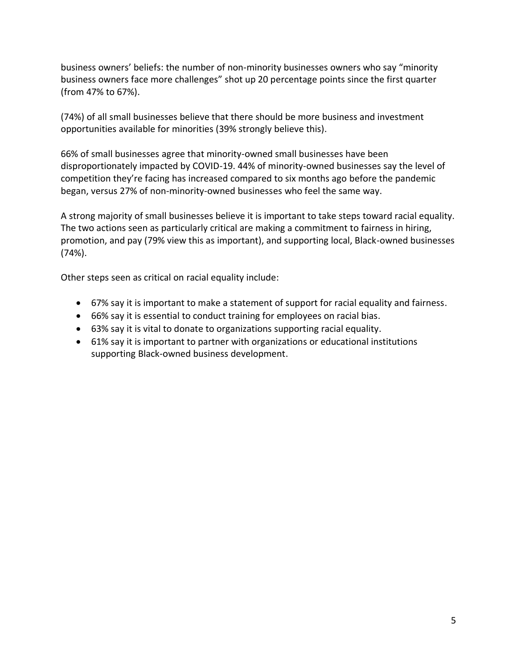business owners' beliefs: the number of non-minority businesses owners who say "minority business owners face more challenges" shot up 20 percentage points since the first quarter (from 47% to 67%).

(74%) of all small businesses believe that there should be more business and investment opportunities available for minorities (39% strongly believe this).

66% of small businesses agree that minority-owned small businesses have been disproportionately impacted by COVID-19. 44% of minority-owned businesses say the level of competition they're facing has increased compared to six months ago before the pandemic began, versus 27% of non-minority-owned businesses who feel the same way.

A strong majority of small businesses believe it is important to take steps toward racial equality. The two actions seen as particularly critical are making a commitment to fairness in hiring, promotion, and pay (79% view this as important), and supporting local, Black-owned businesses (74%).

Other steps seen as critical on racial equality include:

- 67% say it is important to make a statement of support for racial equality and fairness.
- 66% say it is essential to conduct training for employees on racial bias.
- 63% say it is vital to donate to organizations supporting racial equality.
- 61% say it is important to partner with organizations or educational institutions supporting Black-owned business development.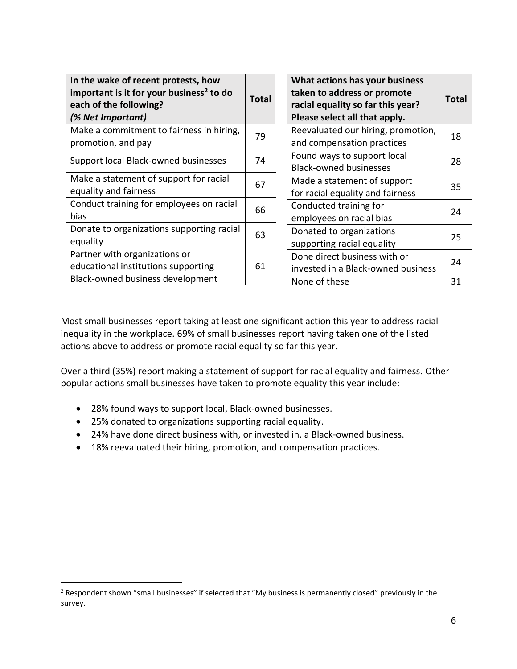| In the wake of recent protests, how<br>important is it for your business <sup>2</sup> to do<br>each of the following?<br>(% Net Important) | Total | What actions has your business<br>taken to address or promote<br>racial equality so far this year?<br>Please select all that apply. | Total |
|--------------------------------------------------------------------------------------------------------------------------------------------|-------|-------------------------------------------------------------------------------------------------------------------------------------|-------|
| Make a commitment to fairness in hiring,<br>promotion, and pay                                                                             | 79    | Reevaluated our hiring, promotion,<br>and compensation practices                                                                    | 18    |
| Support local Black-owned businesses                                                                                                       | 74    | Found ways to support local<br><b>Black-owned businesses</b>                                                                        | 28    |
| Make a statement of support for racial<br>equality and fairness                                                                            | 67    | Made a statement of support<br>for racial equality and fairness                                                                     | 35    |
| Conduct training for employees on racial<br>bias                                                                                           | 66    | Conducted training for<br>employees on racial bias                                                                                  | 24    |
| Donate to organizations supporting racial<br>equality                                                                                      | 63    | Donated to organizations<br>supporting racial equality                                                                              | 25    |
| Partner with organizations or<br>educational institutions supporting                                                                       | 61    | Done direct business with or<br>invested in a Black-owned business                                                                  | 24    |
| Black-owned business development                                                                                                           |       | None of these                                                                                                                       | 31    |

Most small businesses report taking at least one significant action this year to address racial inequality in the workplace. 69% of small businesses report having taken one of the listed actions above to address or promote racial equality so far this year.

Over a third (35%) report making a statement of support for racial equality and fairness. Other popular actions small businesses have taken to promote equality this year include:

- 28% found ways to support local, Black-owned businesses.
- 25% donated to organizations supporting racial equality.
- 24% have done direct business with, or invested in, a Black-owned business.
- 18% reevaluated their hiring, promotion, and compensation practices.

<sup>&</sup>lt;sup>2</sup> Respondent shown "small businesses" if selected that "My business is permanently closed" previously in the survey.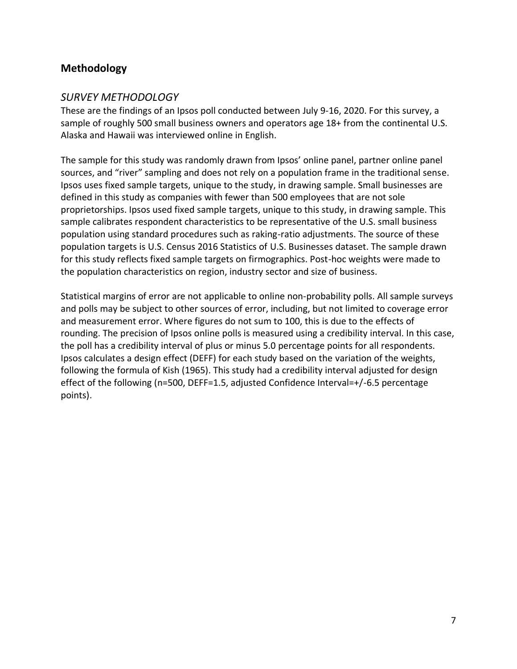# **Methodology**

#### *SURVEY METHODOLOGY*

These are the findings of an Ipsos poll conducted between July 9-16, 2020. For this survey, a sample of roughly 500 small business owners and operators age 18+ from the continental U.S. Alaska and Hawaii was interviewed online in English.

The sample for this study was randomly drawn from Ipsos' online panel, partner online panel sources, and "river" sampling and does not rely on a population frame in the traditional sense. Ipsos uses fixed sample targets, unique to the study, in drawing sample. Small businesses are defined in this study as companies with fewer than 500 employees that are not sole proprietorships. Ipsos used fixed sample targets, unique to this study, in drawing sample. This sample calibrates respondent characteristics to be representative of the U.S. small business population using standard procedures such as raking-ratio adjustments. The source of these population targets is U.S. Census 2016 Statistics of U.S. Businesses dataset. The sample drawn for this study reflects fixed sample targets on firmographics. Post-hoc weights were made to the population characteristics on region, industry sector and size of business.

Statistical margins of error are not applicable to online non-probability polls. All sample surveys and polls may be subject to other sources of error, including, but not limited to coverage error and measurement error. Where figures do not sum to 100, this is due to the effects of rounding. The precision of Ipsos online polls is measured using a credibility interval. In this case, the poll has a credibility interval of plus or minus 5.0 percentage points for all respondents. Ipsos calculates a design effect (DEFF) for each study based on the variation of the weights, following the formula of Kish (1965). This study had a credibility interval adjusted for design effect of the following (n=500, DEFF=1.5, adjusted Confidence Interval=+/-6.5 percentage points).